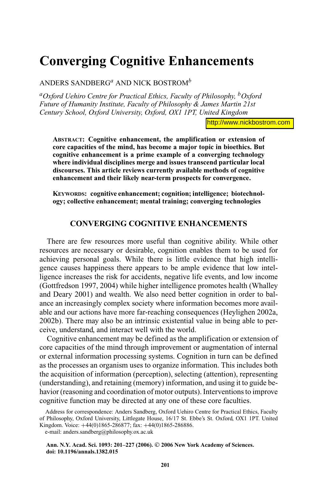# **Converging Cognitive Enhancements**

ANDERS SANDBERG*<sup>a</sup>* AND NICK BOSTROM*<sup>b</sup>*

*aOxford Uehiro Centre for Practical Ethics, Faculty of Philosophy, bOxford Future of Humanity Institute, Faculty of Philosophy & James Martin 21st Century School, Oxford University, Oxford, OX1 1PT, United Kingdom*

http://www.nickbostrom.com

**ABSTRACT: Cognitive enhancement, the amplification or extension of core capacities of the mind, has become a major topic in bioethics. But cognitive enhancement is a prime example of a converging technology where individual disciplines merge and issues transcend particular local discourses. This article reviews currently available methods of cognitive enhancement and their likely near-term prospects for convergence.**

**KEYWORDS: cognitive enhancement; cognition; intelligence; biotechnology; collective enhancement; mental training; converging technologies**

# **CONVERGING COGNITIVE ENHANCEMENTS**

There are few resources more useful than cognitive ability. While other resources are necessary or desirable, cognition enables them to be used for achieving personal goals. While there is little evidence that high intelligence causes happiness there appears to be ample evidence that low intelligence increases the risk for accidents, negative life events, and low income (Gottfredson 1997, 2004) while higher intelligence promotes health (Whalley and Deary 2001) and wealth. We also need better cognition in order to balance an increasingly complex society where information becomes more available and our actions have more far-reaching consequences (Heylighen 2002a, 2002b). There may also be an intrinsic existential value in being able to perceive, understand, and interact well with the world.

Cognitive enhancement may be defined as the amplification or extension of core capacities of the mind through improvement or augmentation of internal or external information processing systems. Cognition in turn can be defined as the processes an organism uses to organize information. This includes both the acquisition of information (perception), selecting (attention), representing (understanding), and retaining (memory) information, and using it to guide behavior (reasoning and coordination of motor outputs). Interventions to improve cognitive function may be directed at any one of these core faculties.

e-mail: anders.sandberg@philosophy.ox.ac.uk

Address for correspondence: Anders Sandberg, Oxford Uehiro Centre for Practical Ethics, Faculty of Philosophy, Oxford University, Littlegate House, 16/17 St. Ebbe's St. Oxford, OX1 1PT. United Kingdom. Voice: +44(0)1865-286877; fax: +44(0)1865-286886.

**Ann. N.Y. Acad. Sci. 1093: 201–227 (2006).** *-***<sup>C</sup> 2006 New York Academy of Sciences. doi: 10.1196/annals.1382.015**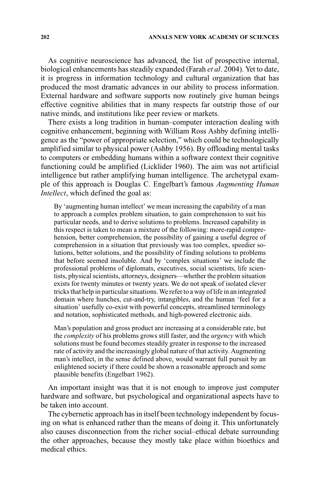As cognitive neuroscience has advanced, the list of prospective internal, biological enhancements has steadily expanded (Farah *et al*. 2004). Yet to date, it is progress in information technology and cultural organization that has produced the most dramatic advances in our ability to process information. External hardware and software supports now routinely give human beings effective cognitive abilities that in many respects far outstrip those of our native minds, and institutions like peer review or markets.

There exists a long tradition in human–computer interaction dealing with cognitive enhancement, beginning with William Ross Ashby defining intelligence as the "power of appropriate selection," which could be technologically amplified similar to physical power (Ashby 1956). By offloading mental tasks to computers or embedding humans within a software context their cognitive functioning could be amplified (Licklider 1960). The aim was not artificial intelligence but rather amplifying human intelligence. The archetypal example of this approach is Douglas C. Engelbart's famous *Augmenting Human Intellect*, which defined the goal as:

By 'augmenting human intellect' we mean increasing the capability of a man to approach a complex problem situation, to gain comprehension to suit his particular needs, and to derive solutions to problems. Increased capability in this respect is taken to mean a mixture of the following: more-rapid comprehension, better comprehension, the possibility of gaining a useful degree of comprehension in a situation that previously was too complex, speedier solutions, better solutions, and the possibility of finding solutions to problems that before seemed insoluble. And by 'complex situations' we include the professional problems of diplomats, executives, social scientists, life scientists, physical scientists, attorneys, designers—whether the problem situation exists for twenty minutes or twenty years. We do not speak of isolated clever tricks that help in particular situations. We refer to a way of life in an integrated domain where hunches, cut-and-try, intangibles, and the human 'feel for a situation' usefully co-exist with powerful concepts, streamlined terminology and notation, sophisticated methods, and high-powered electronic aids.

Man's population and gross product are increasing at a considerable rate, but the *complexity* of his problems grows still faster, and the *urgency* with which solutions must be found becomes steadily greater in response to the increased rate of activity and the increasingly global nature of that activity. Augmenting man's intellect, in the sense defined above, would warrant full pursuit by an enlightened society if there could be shown a reasonable approach and some plausible benefits (Engelbart 1962).

An important insight was that it is not enough to improve just computer hardware and software, but psychological and organizational aspects have to be taken into account.

The cybernetic approach has in itself been technology independent by focusing on what is enhanced rather than the means of doing it. This unfortunately also causes disconnection from the richer social–ethical debate surrounding the other approaches, because they mostly take place within bioethics and medical ethics.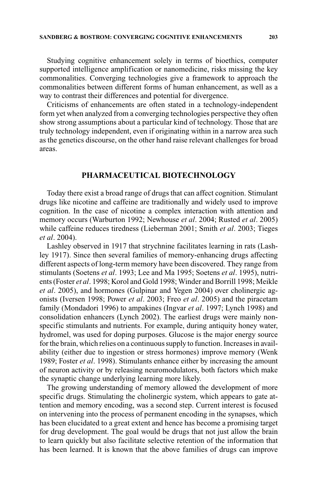Studying cognitive enhancement solely in terms of bioethics, computer supported intelligence amplification or nanomedicine, risks missing the key commonalities. Converging technologies give a framework to approach the commonalities between different forms of human enhancement, as well as a way to contrast their differences and potential for divergence.

Criticisms of enhancements are often stated in a technology-independent form yet when analyzed from a converging technologies perspective they often show strong assumptions about a particular kind of technology. Those that are truly technology independent, even if originating within in a narrow area such as the genetics discourse, on the other hand raise relevant challenges for broad areas.

#### **PHARMACEUTICAL BIOTECHNOLOGY**

Today there exist a broad range of drugs that can affect cognition. Stimulant drugs like nicotine and caffeine are traditionally and widely used to improve cognition. In the case of nicotine a complex interaction with attention and memory occurs (Warburton 1992; Newhouse *et al*. 2004; Rusted *et al*. 2005) while caffeine reduces tiredness (Lieberman 2001; Smith *et al*. 2003; Tieges *et al*. 2004).

Lashley observed in 1917 that strychnine facilitates learning in rats (Lashley 1917). Since then several families of memory-enhancing drugs affecting different aspects of long-term memory have been discovered. They range from stimulants (Soetens *et al*. 1993; Lee and Ma 1995; Soetens *et al*. 1995), nutrients (Foster *et al*. 1998; Korol and Gold 1998; Winder and Borrill 1998; Meikle *et al*. 2005), and hormones (Gulpinar and Yegen 2004) over cholinergic agonists (Iversen 1998; Power *et al*. 2003; Freo *et al*. 2005) and the piracetam family (Mondadori 1996) to ampakines (Ingvar *et al*. 1997; Lynch 1998) and consolidation enhancers (Lynch 2002). The earliest drugs were mainly nonspecific stimulants and nutrients. For example, during antiquity honey water, hydromel, was used for doping purposes. Glucose is the major energy source for the brain, which relies on a continuous supply to function. Increases in availability (either due to ingestion or stress hormones) improve memory (Wenk 1989; Foster *et al*. 1998). Stimulants enhance either by increasing the amount of neuron activity or by releasing neuromodulators, both factors which make the synaptic change underlying learning more likely.

The growing understanding of memory allowed the development of more specific drugs. Stimulating the cholinergic system, which appears to gate attention and memory encoding, was a second step. Current interest is focused on intervening into the process of permanent encoding in the synapses, which has been elucidated to a great extent and hence has become a promising target for drug development. The goal would be drugs that not just allow the brain to learn quickly but also facilitate selective retention of the information that has been learned. It is known that the above families of drugs can improve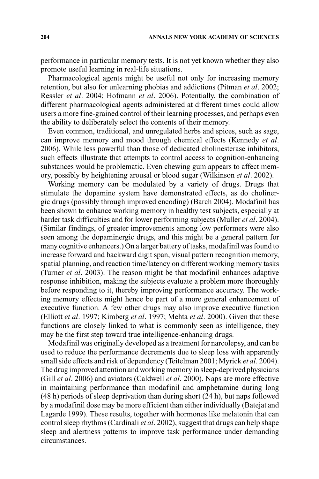performance in particular memory tests. It is not yet known whether they also promote useful learning in real-life situations.

Pharmacological agents might be useful not only for increasing memory retention, but also for unlearning phobias and addictions (Pitman *et al*. 2002; Ressler *et al*. 2004; Hofmann *et al*. 2006). Potentially, the combination of different pharmacological agents administered at different times could allow users a more fine-grained control of their learning processes, and perhaps even the ability to deliberately select the contents of their memory.

Even common, traditional, and unregulated herbs and spices, such as sage, can improve memory and mood through chemical effects (Kennedy *et al*. 2006). While less powerful than those of dedicated cholinesterase inhibitors, such effects illustrate that attempts to control access to cognition-enhancing substances would be problematic. Even chewing gum appears to affect memory, possibly by heightening arousal or blood sugar (Wilkinson *et al*. 2002).

Working memory can be modulated by a variety of drugs. Drugs that stimulate the dopamine system have demonstrated effects, as do cholinergic drugs (possibly through improved encoding) (Barch 2004). Modafinil has been shown to enhance working memory in healthy test subjects, especially at harder task difficulties and for lower performing subjects (Muller *et al*. 2004). (Similar findings, of greater improvements among low performers were also seen among the dopaminergic drugs, and this might be a general pattern for many cognitive enhancers.) On a larger battery of tasks, modafinil was found to increase forward and backward digit span, visual pattern recognition memory, spatial planning, and reaction time/latency on different working memory tasks (Turner *et al*. 2003). The reason might be that modafinil enhances adaptive response inhibition, making the subjects evaluate a problem more thoroughly before responding to it, thereby improving performance accuracy. The working memory effects might hence be part of a more general enhancement of executive function. A few other drugs may also improve executive function (Elliott *et al*. 1997; Kimberg *et al*. 1997; Mehta *et al*. 2000). Given that these functions are closely linked to what is commonly seen as intelligence, they may be the first step toward true intelligence-enhancing drugs.

Modafinil was originally developed as a treatment for narcolepsy, and can be used to reduce the performance decrements due to sleep loss with apparently small side effects and risk of dependency (Teitelman 2001; Myrick *et al*. 2004). The drug improved attention and working memory in sleep-deprived physicians (Gill *et al*. 2006) and aviators (Caldwell *et al*. 2000). Naps are more effective in maintaining performance than modafinil and amphetamine during long (48 h) periods of sleep deprivation than during short (24 h), but naps followed by a modafinil dose may be more efficient than either individually (Batejat and Lagarde 1999). These results, together with hormones like melatonin that can control sleep rhythms (Cardinali *et al*. 2002), suggest that drugs can help shape sleep and alertness patterns to improve task performance under demanding circumstances.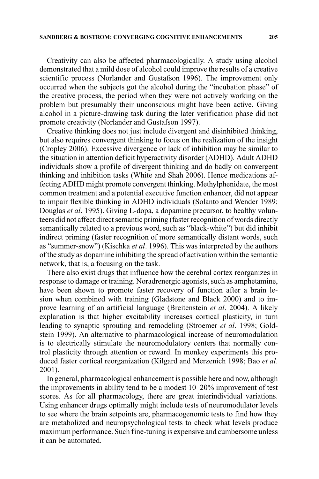Creativity can also be affected pharmacologically. A study using alcohol demonstrated that a mild dose of alcohol could improve the results of a creative scientific process (Norlander and Gustafson 1996). The improvement only occurred when the subjects got the alcohol during the "incubation phase" of the creative process, the period when they were not actively working on the problem but presumably their unconscious might have been active. Giving alcohol in a picture-drawing task during the later verification phase did not promote creativity (Norlander and Gustafson 1997).

Creative thinking does not just include divergent and disinhibited thinking, but also requires convergent thinking to focus on the realization of the insight (Cropley 2006). Excessive divergence or lack of inhibition may be similar to the situation in attention deficit hyperactivity disorder (ADHD). Adult ADHD individuals show a profile of divergent thinking and do badly on convergent thinking and inhibition tasks (White and Shah 2006). Hence medications affecting ADHD might promote convergent thinking. Methylphenidate, the most common treatment and a potential executive function enhancer, did not appear to impair flexible thinking in ADHD individuals (Solanto and Wender 1989; Douglas *et al*. 1995). Giving L-dopa, a dopamine precursor, to healthy volunteers did not affect direct semantic priming (faster recognition of words directly semantically related to a previous word, such as "black-white") but did inhibit indirect priming (faster recognition of more semantically distant words, such as "summer-snow") (Kischka *et al*. 1996). This was interpreted by the authors of the study as dopamine inhibiting the spread of activation within the semantic network, that is, a focusing on the task.

There also exist drugs that influence how the cerebral cortex reorganizes in response to damage or training. Noradrenergic agonists, such as amphetamine, have been shown to promote faster recovery of function after a brain lesion when combined with training (Gladstone and Black 2000) and to improve learning of an artificial language (Breitenstein *et al*. 2004). A likely explanation is that higher excitability increases cortical plasticity, in turn leading to synaptic sprouting and remodeling (Stroemer *et al*. 1998; Goldstein 1999). An alternative to pharmacological increase of neuromodulation is to electrically stimulate the neuromodulatory centers that normally control plasticity through attention or reward. In monkey experiments this produced faster cortical reorganization (Kilgard and Merzenich 1998; Bao *et al*. 2001).

In general, pharmacological enhancement is possible here and now, although the improvements in ability tend to be a modest 10–20% improvement of test scores. As for all pharmacology, there are great interindividual variations. Using enhancer drugs optimally might include tests of neuromodulator levels to see where the brain setpoints are, pharmacogenomic tests to find how they are metabolized and neuropsychological tests to check what levels produce maximum performance. Such fine-tuning is expensive and cumbersome unless it can be automated.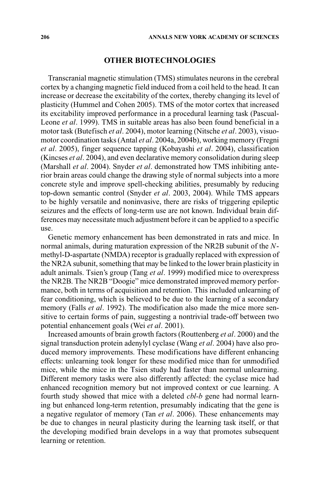# **OTHER BIOTECHNOLOGIES**

Transcranial magnetic stimulation (TMS) stimulates neurons in the cerebral cortex by a changing magnetic field induced from a coil held to the head. It can increase or decrease the excitability of the cortex, thereby changing its level of plasticity (Hummel and Cohen 2005). TMS of the motor cortex that increased its excitability improved performance in a procedural learning task (Pascual-Leone *et al*. 1999). TMS in suitable areas has also been found beneficial in a motor task (Butefisch *et al*. 2004), motor learning (Nitsche *et al*. 2003), visuomotor coordination tasks (Antal *et al*. 2004a, 2004b), working memory (Fregni *et al*. 2005), finger sequence tapping (Kobayashi *et al*. 2004), classification (Kincses *et al*. 2004), and even declarative memory consolidation during sleep (Marshall *et al*. 2004). Snyder *et al*. demonstrated how TMS inhibiting anterior brain areas could change the drawing style of normal subjects into a more concrete style and improve spell-checking abilities, presumably by reducing top-down semantic control (Snyder *et al*. 2003, 2004). While TMS appears to be highly versatile and noninvasive, there are risks of triggering epileptic seizures and the effects of long-term use are not known. Individual brain differences may necessitate much adjustment before it can be applied to a specific use.

Genetic memory enhancement has been demonstrated in rats and mice. In normal animals, during maturation expression of the NR2B subunit of the *N*methyl-D-aspartate (NMDA) receptor is gradually replaced with expression of the NR2A subunit, something that may be linked to the lower brain plasticity in adult animals. Tsien's group (Tang *et al*. 1999) modified mice to overexpress the NR2B. The NR2B "Doogie" mice demonstrated improved memory performance, both in terms of acquisition and retention. This included unlearning of fear conditioning, which is believed to be due to the learning of a secondary memory (Falls *et al*. 1992). The modification also made the mice more sensitive to certain forms of pain, suggesting a nontrivial trade-off between two potential enhancement goals (Wei *et al*. 2001).

Increased amounts of brain growth factors (Routtenberg *et al*. 2000) and the signal transduction protein adenylyl cyclase (Wang *et al*. 2004) have also produced memory improvements. These modifications have different enhancing effects: unlearning took longer for these modified mice than for unmodified mice, while the mice in the Tsien study had faster than normal unlearning. Different memory tasks were also differently affected: the cyclase mice had enhanced recognition memory but not improved context or cue learning. A fourth study showed that mice with a deleted *cbl-b* gene had normal learning but enhanced long-term retention, presumably indicating that the gene is a negative regulator of memory (Tan *et al*. 2006). These enhancements may be due to changes in neural plasticity during the learning task itself, or that the developing modified brain develops in a way that promotes subsequent learning or retention.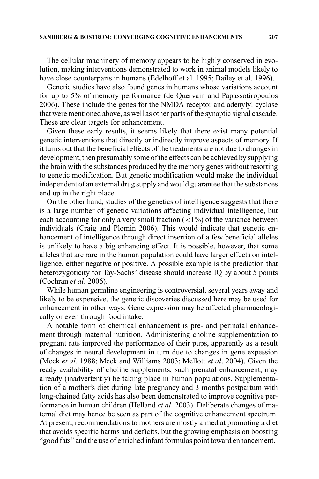The cellular machinery of memory appears to be highly conserved in evolution, making interventions demonstrated to work in animal models likely to have close counterparts in humans (Edelhoff et al. 1995; Bailey et al. 1996).

Genetic studies have also found genes in humans whose variations account for up to 5% of memory performance (de Quervain and Papassotiropoulos 2006). These include the genes for the NMDA receptor and adenylyl cyclase that were mentioned above, as well as other parts of the synaptic signal cascade. These are clear targets for enhancement.

Given these early results, it seems likely that there exist many potential genetic interventions that directly or indirectly improve aspects of memory. If it turns out that the beneficial effects of the treatments are not due to changes in development, then presumably some of the effects can be achieved by supplying the brain with the substances produced by the memory genes without resorting to genetic modification. But genetic modification would make the individual independent of an external drug supply and would guarantee that the substances end up in the right place.

On the other hand, studies of the genetics of intelligence suggests that there is a large number of genetic variations affecting individual intelligence, but each accounting for only a very small fraction  $(<1%)$  of the variance between individuals (Craig and Plomin 2006). This would indicate that genetic enhancement of intelligence through direct insertion of a few beneficial alleles is unlikely to have a big enhancing effect. It is possible, however, that some alleles that are rare in the human population could have larger effects on intelligence, either negative or positive. A possible example is the prediction that heterozygoticity for Tay-Sachs' disease should increase IQ by about 5 points (Cochran *et al*. 2006).

While human germline engineering is controversial, several years away and likely to be expensive, the genetic discoveries discussed here may be used for enhancement in other ways. Gene expression may be affected pharmacologically or even through food intake.

A notable form of chemical enhancement is pre- and perinatal enhancement through maternal nutrition. Administering choline supplementation to pregnant rats improved the performance of their pups, apparently as a result of changes in neural development in turn due to changes in gene expession (Meck *et al*. 1988; Meck and Williams 2003; Mellott *et al*. 2004). Given the ready availability of choline supplements, such prenatal enhancement, may already (inadvertently) be taking place in human populations. Supplementation of a mother's diet during late pregnancy and 3 months postpartum with long-chained fatty acids has also been demonstrated to improve cognitive performance in human children (Helland *et al*. 2003). Deliberate changes of maternal diet may hence be seen as part of the cognitive enhancement spectrum. At present, recommendations to mothers are mostly aimed at promoting a diet that avoids specific harms and deficits, but the growing emphasis on boosting "good fats" and the use of enriched infant formulas point toward enhancement.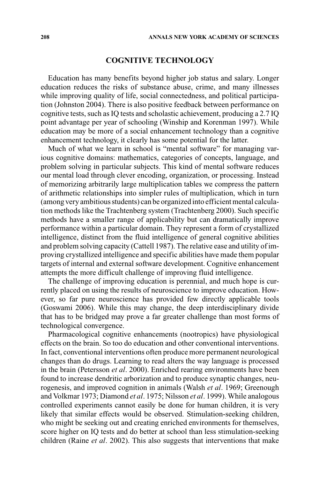# **COGNITIVE TECHNOLOGY**

Education has many benefits beyond higher job status and salary. Longer education reduces the risks of substance abuse, crime, and many illnesses while improving quality of life, social connectedness, and political participation (Johnston 2004). There is also positive feedback between performance on cognitive tests, such as IQ tests and scholastic achievement, producing a 2.7 IQ point advantage per year of schooling (Winship and Korenman 1997). While education may be more of a social enhancement technology than a cognitive enhancement technology, it clearly has some potential for the latter.

Much of what we learn in school is "mental software" for managing various cognitive domains: mathematics, categories of concepts, language, and problem solving in particular subjects. This kind of mental software reduces our mental load through clever encoding, organization, or processing. Instead of memorizing arbitrarily large multiplication tables we compress the pattern of arithmetic relationships into simpler rules of multiplication, which in turn (among very ambitious students) can be organized into efficient mental calculation methods like the Trachtenberg system (Trachtenberg 2000). Such specific methods have a smaller range of applicability but can dramatically improve performance within a particular domain. They represent a form of crystallized intelligence, distinct from the fluid intelligence of general cognitive abilities and problem solving capacity (Cattell 1987). The relative ease and utility of improving crystallized intelligence and specific abilities have made them popular targets of internal and external software development. Cognitive enhancement attempts the more difficult challenge of improving fluid intelligence.

The challenge of improving education is perennial, and much hope is currently placed on using the results of neuroscience to improve education. However, so far pure neuroscience has provided few directly applicable tools (Goswami 2006). While this may change, the deep interdisciplinary divide that has to be bridged may prove a far greater challenge than most forms of technological convergence.

Pharmacological cognitive enhancements (nootropics) have physiological effects on the brain. So too do education and other conventional interventions. In fact, conventional interventions often produce more permanent neurological changes than do drugs. Learning to read alters the way language is processed in the brain (Petersson *et al*. 2000). Enriched rearing environments have been found to increase dendritic arborization and to produce synaptic changes, neurogenesis, and improved cognition in animals (Walsh *et al*. 1969; Greenough and Volkmar 1973; Diamond *et al*. 1975; Nilsson *et al*. 1999). While analogous controlled experiments cannot easily be done for human children, it is very likely that similar effects would be observed. Stimulation-seeking children, who might be seeking out and creating enriched environments for themselves, score higher on IQ tests and do better at school than less stimulation-seeking children (Raine *et al*. 2002). This also suggests that interventions that make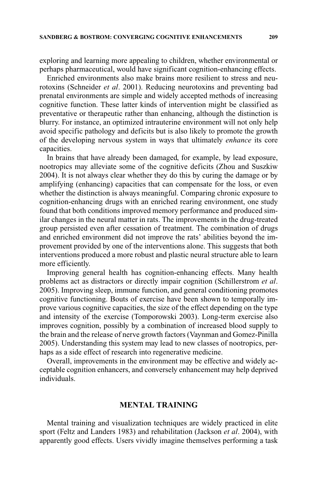exploring and learning more appealing to children, whether environmental or perhaps pharmaceutical, would have significant cognition-enhancing effects.

Enriched environments also make brains more resilient to stress and neurotoxins (Schneider *et al*. 2001). Reducing neurotoxins and preventing bad prenatal environments are simple and widely accepted methods of increasing cognitive function. These latter kinds of intervention might be classified as preventative or therapeutic rather than enhancing, although the distinction is blurry. For instance, an optimized intrauterine environment will not only help avoid specific pathology and deficits but is also likely to promote the growth of the developing nervous system in ways that ultimately *enhance* its core capacities.

In brains that have already been damaged, for example, by lead exposure, nootropics may alleviate some of the cognitive deficits (Zhou and Suszkiw 2004). It is not always clear whether they do this by curing the damage or by amplifying (enhancing) capacities that can compensate for the loss, or even whether the distinction is always meaningful. Comparing chronic exposure to cognition-enhancing drugs with an enriched rearing environment, one study found that both conditions improved memory performance and produced similar changes in the neural matter in rats. The improvements in the drug-treated group persisted even after cessation of treatment. The combination of drugs and enriched environment did not improve the rats' abilities beyond the improvement provided by one of the interventions alone. This suggests that both interventions produced a more robust and plastic neural structure able to learn more efficiently.

Improving general health has cognition-enhancing effects. Many health problems act as distractors or directly impair cognition (Schillerstrom *et al*. 2005). Improving sleep, immune function, and general conditioning promotes cognitive functioning. Bouts of exercise have been shown to temporally improve various cognitive capacities, the size of the effect depending on the type and intensity of the exercise (Tomporowski 2003). Long-term exercise also improves cognition, possibly by a combination of increased blood supply to the brain and the release of nerve growth factors (Vaynman and Gomez-Pinilla 2005). Understanding this system may lead to new classes of nootropics, perhaps as a side effect of research into regenerative medicine.

Overall, improvements in the environment may be effective and widely acceptable cognition enhancers, and conversely enhancement may help deprived individuals.

#### **MENTAL TRAINING**

Mental training and visualization techniques are widely practiced in elite sport (Feltz and Landers 1983) and rehabilitation (Jackson *et al*. 2004), with apparently good effects. Users vividly imagine themselves performing a task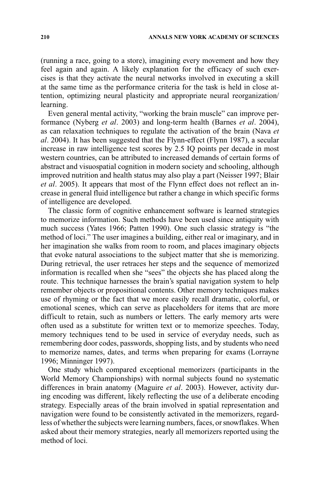(running a race, going to a store), imagining every movement and how they feel again and again. A likely explanation for the efficacy of such exercises is that they activate the neural networks involved in executing a skill at the same time as the performance criteria for the task is held in close attention, optimizing neural plasticity and appropriate neural reorganization/ learning.

Even general mental activity, "working the brain muscle" can improve performance (Nyberg *et al*. 2003) and long-term health (Barnes *et al*. 2004), as can relaxation techniques to regulate the activation of the brain (Nava *et al*. 2004). It has been suggested that the Flynn-effect (Flynn 1987), a secular increase in raw intelligence test scores by 2.5 IQ points per decade in most western countries, can be attributed to increased demands of certain forms of abstract and visuospatial cognition in modern society and schooling, although improved nutrition and health status may also play a part (Neisser 1997; Blair *et al*. 2005). It appears that most of the Flynn effect does not reflect an increase in general fluid intelligence but rather a change in which specific forms of intelligence are developed.

The classic form of cognitive enhancement software is learned strategies to memorize information. Such methods have been used since antiquity with much success (Yates 1966; Patten 1990). One such classic strategy is "the method of loci." The user imagines a building, either real or imaginary, and in her imagination she walks from room to room, and places imaginary objects that evoke natural associations to the subject matter that she is memorizing. During retrieval, the user retraces her steps and the sequence of memorized information is recalled when she "sees" the objects she has placed along the route. This technique harnesses the brain's spatial navigation system to help remember objects or propositional contents. Other memory techniques makes use of rhyming or the fact that we more easily recall dramatic, colorful, or emotional scenes, which can serve as placeholders for items that are more difficult to retain, such as numbers or letters. The early memory arts were often used as a substitute for written text or to memorize speeches. Today, memory techniques tend to be used in service of everyday needs, such as remembering door codes, passwords, shopping lists, and by students who need to memorize names, dates, and terms when preparing for exams (Lorrayne 1996; Minninger 1997).

One study which compared exceptional memorizers (participants in the World Memory Championships) with normal subjects found no systematic differences in brain anatomy (Maguire *et al*. 2003). However, activity during encoding was different, likely reflecting the use of a deliberate encoding strategy. Especially areas of the brain involved in spatial representation and navigation were found to be consistently activated in the memorizers, regardless of whether the subjects were learning numbers, faces, or snowflakes. When asked about their memory strategies, nearly all memorizers reported using the method of loci.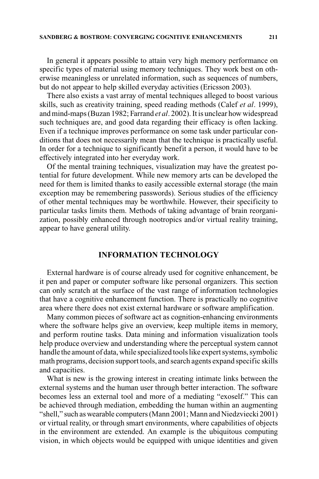In general it appears possible to attain very high memory performance on specific types of material using memory techniques. They work best on otherwise meaningless or unrelated information, such as sequences of numbers, but do not appear to help skilled everyday activities (Ericsson 2003).

There also exists a vast array of mental techniques alleged to boost various skills, such as creativity training, speed reading methods (Calef *et al*. 1999), and mind-maps (Buzan 1982; Farrand *et al*. 2002). It is unclear how widespread such techniques are, and good data regarding their efficacy is often lacking. Even if a technique improves performance on some task under particular conditions that does not necessarily mean that the technique is practically useful. In order for a technique to significantly benefit a person, it would have to be effectively integrated into her everyday work.

Of the mental training techniques, visualization may have the greatest potential for future development. While new memory arts can be developed the need for them is limited thanks to easily accessible external storage (the main exception may be remembering passwords). Serious studies of the efficiency of other mental techniques may be worthwhile. However, their specificity to particular tasks limits them. Methods of taking advantage of brain reorganization, possibly enhanced through nootropics and/or virtual reality training, appear to have general utility.

#### **INFORMATION TECHNOLOGY**

External hardware is of course already used for cognitive enhancement, be it pen and paper or computer software like personal organizers. This section can only scratch at the surface of the vast range of information technologies that have a cognitive enhancement function. There is practically no cognitive area where there does not exist external hardware or software amplification.

Many common pieces of software act as cognition-enhancing environments where the software helps give an overview, keep multiple items in memory, and perform routine tasks. Data mining and information visualization tools help produce overview and understanding where the perceptual system cannot handle the amount of data, while specialized tools like expert systems, symbolic math programs, decision support tools, and search agents expand specific skills and capacities.

What is new is the growing interest in creating intimate links between the external systems and the human user through better interaction. The software becomes less an external tool and more of a mediating "exoself." This can be achieved through mediation, embedding the human within an augmenting "shell," such as wearable computers (Mann 2001; Mann and Niedzviecki 2001) or virtual reality, or through smart environments, where capabilities of objects in the environment are extended. An example is the ubiquitous computing vision, in which objects would be equipped with unique identities and given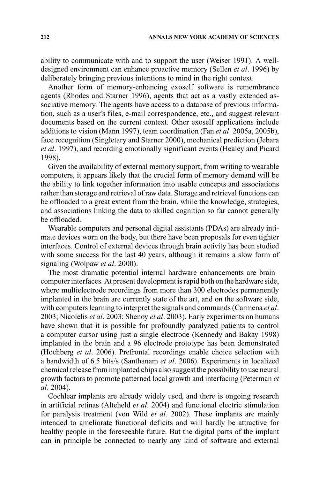ability to communicate with and to support the user (Weiser 1991). A welldesigned environment can enhance proactive memory (Sellen *et al*. 1996) by deliberately bringing previous intentions to mind in the right context.

Another form of memory-enhancing exoself software is remembrance agents (Rhodes and Starner 1996), agents that act as a vastly extended associative memory. The agents have access to a database of previous information, such as a user's files, e-mail correspondence, etc., and suggest relevant documents based on the current context. Other exoself applications include additions to vision (Mann 1997), team coordination (Fan *et al*. 2005a, 2005b), face recognition (Singletary and Starner 2000), mechanical prediction (Jebara *et al*. 1997), and recording emotionally significant events (Healey and Picard 1998).

Given the availability of external memory support, from writing to wearable computers, it appears likely that the crucial form of memory demand will be the ability to link together information into usable concepts and associations rather than storage and retrieval of raw data. Storage and retrieval functions can be offloaded to a great extent from the brain, while the knowledge, strategies, and associations linking the data to skilled cognition so far cannot generally be offloaded.

Wearable computers and personal digital assistants (PDAs) are already intimate devices worn on the body, but there have been proposals for even tighter interfaces. Control of external devices through brain activity has been studied with some success for the last 40 years, although it remains a slow form of signaling (Wolpaw *et al*. 2000).

The most dramatic potential internal hardware enhancements are brain– computer interfaces. At present development is rapid both on the hardware side, where multielectrode recordings from more than 300 electrodes permanently implanted in the brain are currently state of the art, and on the software side, with computers learning to interpret the signals and commands (Carmena *et al*. 2003; Nicolelis *et al*. 2003; Shenoy *et al*. 2003). Early experiments on humans have shown that it is possible for profoundly paralyzed patients to control a computer cursor using just a single electrode (Kennedy and Bakay 1998) implanted in the brain and a 96 electrode prototype has been demonstrated (Hochberg *et al*. 2006). Prefrontal recordings enable choice selection with a bandwidth of 6.5 bits/s (Santhanam *et al*. 2006). Experiments in localized chemical release from implanted chips also suggest the possibility to use neural growth factors to promote patterned local growth and interfacing (Peterman *et al*. 2004).

Cochlear implants are already widely used, and there is ongoing research in artificial retinas (Alteheld *et al*. 2004) and functional electric stimulation for paralysis treatment (von Wild *et al*. 2002). These implants are mainly intended to ameliorate functional deficits and will hardly be attractive for healthy people in the foreseeable future. But the digital parts of the implant can in principle be connected to nearly any kind of software and external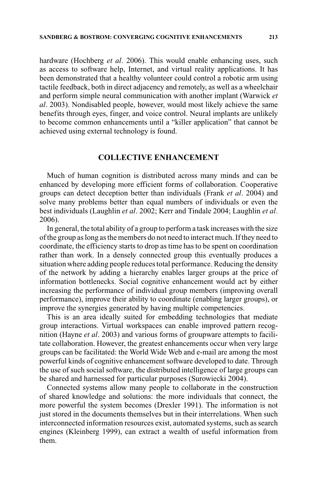hardware (Hochberg *et al*. 2006). This would enable enhancing uses, such as access to software help, Internet, and virtual reality applications. It has been demonstrated that a healthy volunteer could control a robotic arm using tactile feedback, both in direct adjacency and remotely, as well as a wheelchair and perform simple neural communication with another implant (Warwick *et al*. 2003). Nondisabled people, however, would most likely achieve the same benefits through eyes, finger, and voice control. Neural implants are unlikely to become common enhancements until a "killer application" that cannot be achieved using external technology is found.

# **COLLECTIVE ENHANCEMENT**

Much of human cognition is distributed across many minds and can be enhanced by developing more efficient forms of collaboration. Cooperative groups can detect deception better than individuals (Frank *et al*. 2004) and solve many problems better than equal numbers of individuals or even the best individuals (Laughlin *et al*. 2002; Kerr and Tindale 2004; Laughlin *et al*. 2006).

In general, the total ability of a group to perform a task increases with the size of the group as long as the members do not need to interact much. If they need to coordinate, the efficiency starts to drop as time has to be spent on coordination rather than work. In a densely connected group this eventually produces a situation where adding people reduces total performance. Reducing the density of the network by adding a hierarchy enables larger groups at the price of information bottlenecks. Social cognitive enhancement would act by either increasing the performance of individual group members (improving overall performance), improve their ability to coordinate (enabling larger groups), or improve the synergies generated by having multiple competencies.

This is an area ideally suited for embedding technologies that mediate group interactions. Virtual workspaces can enable improved pattern recognition (Hayne *et al*. 2003) and various forms of groupware attempts to facilitate collaboration. However, the greatest enhancements occur when very large groups can be facilitated: the World Wide Web and e-mail are among the most powerful kinds of cognitive enhancement software developed to date. Through the use of such social software, the distributed intelligence of large groups can be shared and harnessed for particular purposes (Surowiecki 2004).

Connected systems allow many people to collaborate in the construction of shared knowledge and solutions: the more individuals that connect, the more powerful the system becomes (Drexler 1991). The information is not just stored in the documents themselves but in their interrelations. When such interconnected information resources exist, automated systems, such as search engines (Kleinberg 1999), can extract a wealth of useful information from them.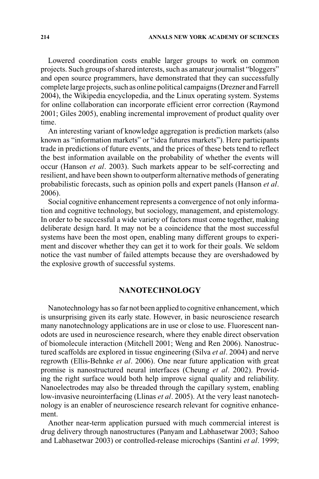Lowered coordination costs enable larger groups to work on common projects. Such groups of shared interests, such as amateur journalist "bloggers" and open source programmers, have demonstrated that they can successfully complete large projects, such as online political campaigns (Drezner and Farrell 2004), the Wikipedia encyclopedia, and the Linux operating system. Systems for online collaboration can incorporate efficient error correction (Raymond 2001; Giles 2005), enabling incremental improvement of product quality over time.

An interesting variant of knowledge aggregation is prediction markets (also known as "information markets" or "idea futures markets"). Here participants trade in predictions of future events, and the prices of these bets tend to reflect the best information available on the probability of whether the events will occur (Hanson *et al*. 2003). Such markets appear to be self-correcting and resilient, and have been shown to outperform alternative methods of generating probabilistic forecasts, such as opinion polls and expert panels (Hanson *et al*. 2006).

Social cognitive enhancement represents a convergence of not only information and cognitive technology, but sociology, management, and epistemology. In order to be successful a wide variety of factors must come together, making deliberate design hard. It may not be a coincidence that the most successful systems have been the most open, enabling many different groups to experiment and discover whether they can get it to work for their goals. We seldom notice the vast number of failed attempts because they are overshadowed by the explosive growth of successful systems.

#### **NANOTECHNOLOGY**

Nanotechnology has so far not been applied to cognitive enhancement, which is unsurprising given its early state. However, in basic neuroscience research many nanotechnology applications are in use or close to use. Fluorescent nanodots are used in neuroscience research, where they enable direct observation of biomolecule interaction (Mitchell 2001; Weng and Ren 2006). Nanostructured scaffolds are explored in tissue engineering (Silva *et al*. 2004) and nerve regrowth (Ellis-Behnke *et al*. 2006). One near future application with great promise is nanostructured neural interfaces (Cheung *et al*. 2002). Providing the right surface would both help improve signal quality and reliability. Nanoelectrodes may also be threaded through the capillary system, enabling low-invasive neurointerfacing (Llinas *et al*. 2005). At the very least nanotechnology is an enabler of neuroscience research relevant for cognitive enhancement.

Another near-term application pursued with much commercial interest is drug delivery through nanostructures (Panyam and Labhasetwar 2003; Sahoo and Labhasetwar 2003) or controlled-release microchips (Santini *et al*. 1999;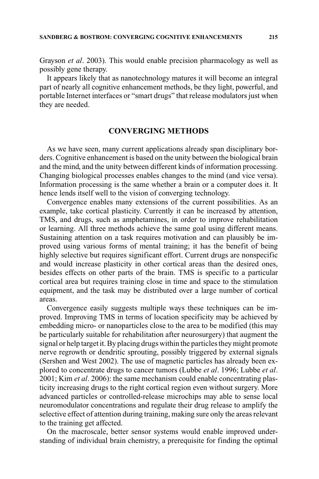Grayson *et al*. 2003). This would enable precision pharmacology as well as possibly gene therapy.

It appears likely that as nanotechnology matures it will become an integral part of nearly all cognitive enhancement methods, be they light, powerful, and portable Internet interfaces or "smart drugs" that release modulators just when they are needed.

#### **CONVERGING METHODS**

As we have seen, many current applications already span disciplinary borders. Cognitive enhancement is based on the unity between the biological brain and the mind, and the unity between different kinds of information processing. Changing biological processes enables changes to the mind (and vice versa). Information processing is the same whether a brain or a computer does it. It hence lends itself well to the vision of converging technology.

Convergence enables many extensions of the current possibilities. As an example, take cortical plasticity. Currently it can be increased by attention, TMS, and drugs, such as amphetamines, in order to improve rehabilitation or learning. All three methods achieve the same goal using different means. Sustaining attention on a task requires motivation and can plausibly be improved using various forms of mental training; it has the benefit of being highly selective but requires significant effort. Current drugs are nonspecific and would increase plasticity in other cortical areas than the desired ones, besides effects on other parts of the brain. TMS is specific to a particular cortical area but requires training close in time and space to the stimulation equipment, and the task may be distributed over a large number of cortical areas.

Convergence easily suggests multiple ways these techniques can be improved. Improving TMS in terms of location specificity may be achieved by embedding micro- or nanoparticles close to the area to be modified (this may be particularly suitable for rehabilitation after neurosurgery) that augment the signal or help target it. By placing drugs within the particles they might promote nerve regrowth or dendritic sprouting, possibly triggered by external signals (Sershen and West 2002). The use of magnetic particles has already been explored to concentrate drugs to cancer tumors (Lubbe *et al*. 1996; Lubbe *et al*. 2001; Kim *et al*. 2006): the same mechanism could enable concentrating plasticity increasing drugs to the right cortical region even without surgery. More advanced particles or controlled-release microchips may able to sense local neuromodulator concentrations and regulate their drug release to amplify the selective effect of attention during training, making sure only the areas relevant to the training get affected.

On the macroscale, better sensor systems would enable improved understanding of individual brain chemistry, a prerequisite for finding the optimal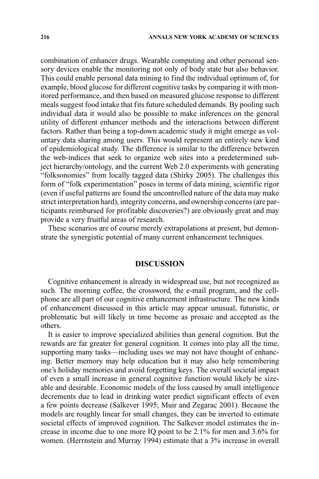combination of enhancer drugs. Wearable computing and other personal sensory devices enable the monitoring not only of body state but also behavior. This could enable personal data mining to find the individual optimum of, for example, blood glucose for different cognitive tasks by comparing it with monitored performance, and then based on measured glucose response to different meals suggest food intake that fits future scheduled demands. By pooling such individual data it would also be possible to make inferences on the general utility of different enhancer methods and the interactions between different factors. Rather than being a top-down academic study it might emerge as voluntary data sharing among users. This would represent an entirely new kind of epidemiological study. The difference is similar to the difference between the web-indices that seek to organize web sites into a predetermined subject hierarchy/ontology, and the current Web 2.0 experiments with generating "folksonomies" from locally tagged data (Shirky 2005). The challenges this form of "folk experimentation" poses in terms of data mining, scientific rigor (even if useful patterns are found the uncontrolled nature of the data may make strict interpretation hard), integrity concerns, and ownership concerns (are participants reimbursed for profitable discoveries?) are obviously great and may provide a very fruitful areas of research.

These scenarios are of course merely extrapolations at present, but demonstrate the synergistic potential of many current enhancement techniques.

#### **DISCUSSION**

Cognitive enhancement is already in widespread use, but not recognized as such. The morning coffee, the crossword, the e-mail program, and the cellphone are all part of our cognitive enhancement infrastructure. The new kinds of enhancement discussed in this article may appear unusual, futuristic, or problematic but will likely in time become as prosaic and accepted as the others.

It is easier to improve specialized abilities than general cognition. But the rewards are far greater for general cognition. It comes into play all the time, supporting many tasks—including uses we may not have thought of enhancing. Better memory may help education but it may also help remembering one's holiday memories and avoid forgetting keys. The overall societal impact of even a small increase in general cognitive function would likely be sizeable and desirable. Economic models of the loss caused by small intelligence decrements due to lead in drinking water predict significant effects of even a few points decrease (Salkever 1995; Muir and Zegarac 2001). Because the models are roughly linear for small changes, they can be inverted to estimate societal effects of improved cognition. The Salkever model estimates the increase in income due to one more IQ point to be 2.1% for men and 3.6% for women. (Herrnstein and Murray 1994) estimate that a 3% increase in overall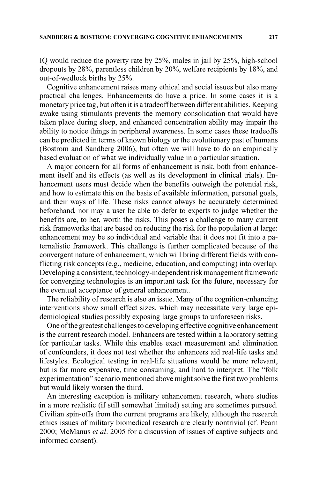IQ would reduce the poverty rate by 25%, males in jail by 25%, high-school dropouts by 28%, parentless children by 20%, welfare recipients by 18%, and out-of-wedlock births by 25%.

Cognitive enhancement raises many ethical and social issues but also many practical challenges. Enhancements do have a price. In some cases it is a monetary price tag, but often it is a tradeoff between different abilities. Keeping awake using stimulants prevents the memory consolidation that would have taken place during sleep, and enhanced concentration ability may impair the ability to notice things in peripheral awareness. In some cases these tradeoffs can be predicted in terms of known biology or the evolutionary past of humans (Bostrom and Sandberg 2006), but often we will have to do an empirically based evaluation of what we individually value in a particular situation.

A major concern for all forms of enhancement is risk, both from enhancement itself and its effects (as well as its development in clinical trials). Enhancement users must decide when the benefits outweigh the potential risk, and how to estimate this on the basis of available information, personal goals, and their ways of life. These risks cannot always be accurately determined beforehand, nor may a user be able to defer to experts to judge whether the benefits are, to her, worth the risks. This poses a challenge to many current risk frameworks that are based on reducing the risk for the population at large: enhancement may be so individual and variable that it does not fit into a paternalistic framework. This challenge is further complicated because of the convergent nature of enhancement, which will bring different fields with conflicting risk concepts (e.g., medicine, education, and computing) into overlap. Developing a consistent, technology-independent risk management framework for converging technologies is an important task for the future, necessary for the eventual acceptance of general enhancement.

The reliability of research is also an issue. Many of the cognition-enhancing interventions show small effect sizes, which may necessitate very large epidemiological studies possibly exposing large groups to unforeseen risks.

One of the greatest challenges to developing effective cognitive enhancement is the current research model. Enhancers are tested within a laboratory setting for particular tasks. While this enables exact measurement and elimination of confounders, it does not test whether the enhancers aid real-life tasks and lifestyles. Ecological testing in real-life situations would be more relevant, but is far more expensive, time consuming, and hard to interpret. The "folk experimentation" scenario mentioned above might solve the first two problems but would likely worsen the third.

An interesting exception is military enhancement research, where studies in a more realistic (if still somewhat limited) setting are sometimes pursued. Civilian spin-offs from the current programs are likely, although the research ethics issues of military biomedical research are clearly nontrivial (cf. Pearn 2000; McManus *et al*. 2005 for a discussion of issues of captive subjects and informed consent).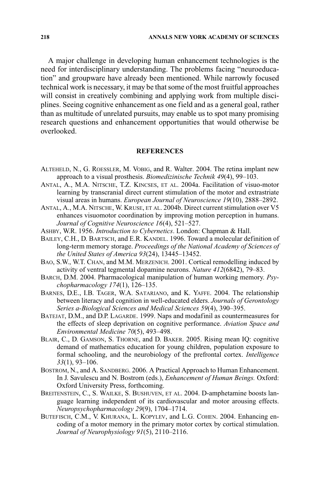A major challenge in developing human enhancement technologies is the need for interdisciplinary understanding. The problems facing "neuroeducation" and groupware have already been mentioned. While narrowly focused technical work is necessary, it may be that some of the most fruitful approaches will consist in creatively combining and applying work from multiple disciplines. Seeing cognitive enhancement as one field and as a general goal, rather than as multitude of unrelated pursuits, may enable us to spot many promising research questions and enhancement opportunities that would otherwise be overlooked.

#### **REFERENCES**

- ALTEHELD, N., G. ROESSLER, M. VOBIG, and R. Walter. 2004. The retina implant new approach to a visual prosthesis. *Biomedizinische Technik 49*(4), 99–103.
- ANTAL, A., M.A. NITSCHE, T.Z. KINCSES, ET AL. 2004a. Facilitation of visuo-motor learning by transcranial direct current stimulation of the motor and extrastriate visual areas in humans. *European Journal of Neuroscience 19*(10), 2888–2892.
- ANTAL, A., M.A. NITSCHE, W. KRUSE, ET AL. 2004b. Direct current stimulation over V5 enhances visuomotor coordination by improving motion perception in humans. *Journal of Cognitive Neuroscience 16*(4), 521–527.
- ASHBY, W.R. 1956. *Introduction to Cybernetics*. London: Chapman & Hall.
- BAILEY, C.H., D. BARTSCH, and E.R. KANDEL. 1996. Toward a molecular definition of long-term memory storage. *Proceedings of the National Academy of Sciences of the United States of America 93*(24), 13445–13452.
- BAO, S.W., W.T. CHAN, and M.M. MERZENICH. 2001. Cortical remodelling induced by activity of ventral tegmental dopamine neurons. *Nature 412*(6842), 79–83.
- BARCH, D.M. 2004. Pharmacological manipulation of human working memory. *Psychopharmacology 174*(1), 126–135.
- BARNES, D.E., I.B. TAGER, W.A. SATARIANO, and K. YAFFE. 2004. The relationship between literacy and cognition in well-educated elders. *Journals of Gerontology Series a-Biological Sciences and Medical Sciences 59*(4), 390–395.
- BATEJAT, D.M., and D.P. LAGARDE. 1999. Naps and modafinil as countermeasures for the effects of sleep deprivation on cognitive performance. *Aviation Space and Environmental Medicine 70*(5), 493–498.
- BLAIR, C., D. GAMSON, S. THORNE, and D. BAKER. 2005. Rising mean IQ: cognitive demand of mathematics education for young children, population exposure to formal schooling, and the neurobiology of the prefrontal cortex. *Intelligence 33*(1), 93–106.
- BOSTROM, N., and A. SANDBERG. 2006. A Practical Approach to Human Enhancement. In J. Savulescu and N. Bostrom (eds.), *Enhancement of Human Beings.* Oxford: Oxford University Press, forthcoming.
- BREITENSTEIN, C., S. WAILKE, S. BUSHUVEN, ET AL. 2004. D-amphetamine boosts language learning independent of its cardiovascular and motor arousing effects. *Neuropsychopharmacology 29*(9), 1704–1714.
- BUTEFISCH, C.M., V. KHURANA, L. KOPYLEV, and L.G. COHEN. 2004. Enhancing encoding of a motor memory in the primary motor cortex by cortical stimulation. *Journal of Neurophysiology 91*(5), 2110–2116.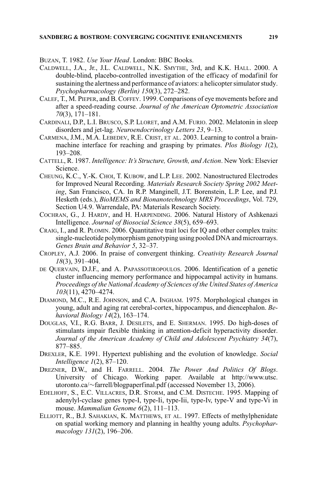BUZAN, T. 1982. *Use Your Head*. London: BBC Books.

- CALDWELL, J.A., Jr., J.L. CALDWELL, N.K. SMYTHE, 3rd, and K.K. HALL. 2000. A double-blind, placebo-controlled investigation of the efficacy of modafinil for sustaining the alertness and performance of aviators: a helicopter simulator study. *Psychopharmacology (Berlin) 150*(3), 272–282.
- CALEF, T., M. PIEPER, and B. COFFEY. 1999. Comparisons of eye movements before and after a speed-reading course. *Journal of the American Optometric Association 70*(3), 171–181.
- CARDINALI, D.P., L.I. BRUSCO, S.P. LLORET, and A.M. FURIO. 2002. Melatonin in sleep disorders and jet-lag. *Neuroendocrinology Letters 23*, 9–13.
- CARMENA, J.M., M.A. LEBEDEV, R.E. CRIST, ET AL. 2003. Learning to control a brainmachine interface for reaching and grasping by primates. *Plos Biology 1*(2), 193–208.
- CATTELL, R. 1987. *Intelligence: It's Structure, Growth, and Action*. New York: Elsevier Science.
- CHEUNG, K.C., Y.-K. CHOI, T. KUBOW, and L.P. LEE. 2002. Nanostructured Electrodes for Improved Neural Recording. *Materials Research Society Spring 2002 Meeting*, San Francisco, CA. In R.P. Manginell, J.T. Borenstein, L.P. Lee, and P.J. Hesketh (eds.), *BioMEMS and Bionanotechnology MRS Proceedings*, Vol. 729, Section U4.9. Warrendale, PA: Materials Research Society.
- COCHRAN, G., J. HARDY, and H. HARPENDING. 2006. Natural History of Ashkenazi Intelligence. *Journal of Biosocial Science 38*(5), 659–693.
- CRAIG, I., and R. PLOMIN. 2006. Quantitative trait loci for IQ and other complex traits: single-nucleotide polymorphism genotyping using pooled DNA and microarrays. *Genes Brain and Behavior 5*, 32–37.
- CROPLEY, A.J. 2006. In praise of convergent thinking. *Creativity Research Journal 18*(3), 391–404.
- DE QUERVAIN, D.J.F., and A. PAPASSOTIROPOULOS. 2006. Identification of a genetic cluster influencing memory performance and hippocampal activity in humans. *Proceedings of the National Academy of Sciences of the United States of America 103*(11), 4270–4274.
- DIAMOND, M.C., R.E. JOHNSON, and C.A. INGHAM. 1975. Morphological changes in young, adult and aging rat cerebral-cortex, hippocampus, and diencephalon. *Behavioral Biology 14*(2), 163–174.
- DOUGLAS, V.I., R.G. BARR, J. DESILETS, and E. SHERMAN. 1995. Do high-doses of stimulants impair flexible thinking in attention-deficit hyperactivity disorder. *Journal of the American Academy of Child and Adolescent Psychiatry 34*(7), 877–885.
- DREXLER, K.E. 1991. Hypertext publishing and the evolution of knowledge. *Social Intelligence 1*(2), 87–120.
- DREZNER, D.W., and H. FARRELL. 2004. *The Power And Politics Of Blogs*. University of Chicago. Working paper. Available at http://www.utsc. utoronto.ca/∼farrell/blogpaperfinal.pdf (accessed November 13, 2006).
- EDELHOFF, S., E.C. VILLACRES, D.R. STORM, and C.M. DISTECHE. 1995. Mapping of adenylyl-cyclase genes type-I, type-Ii, type-Iii, type-Iv, type-V and type-Vi in mouse. *Mammalian Genome 6*(2), 111–113.
- ELLIOTT, R., B.J. SAHAKIAN, K. MATTHEWS, ET AL. 1997. Effects of methylphenidate on spatial working memory and planning in healthy young adults. *Psychopharmacology 131*(2), 196–206.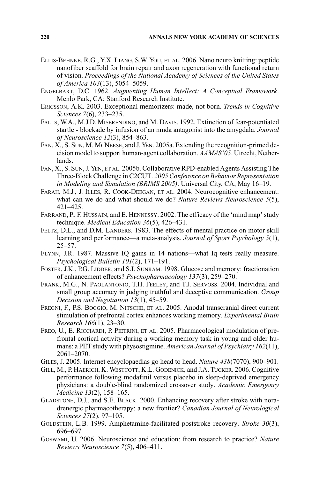- ELLIS-BEHNKE, R.G., Y.X. LIANG, S.W. YOU, ET AL. 2006. Nano neuro knitting: peptide nanofiber scaffold for brain repair and axon regeneration with functional return of vision. *Proceedings of the National Academy of Sciences of the United States of America 103*(13), 5054–5059.
- ENGELBART, D.C. 1962. *Augmenting Human Intellect: A Conceptual Framework*. Menlo Park, CA: Stanford Research Institute.
- ERICSSON, A.K. 2003. Exceptional memorizers: made, not born. *Trends in Cognitive Sciences 7*(6), 233–235.
- FALLS, W.A., M.J.D. MISERENDINO, and M. DAVIS. 1992. Extinction of fear-potentiated startle - blockade by infusion of an nmda antagonist into the amygdala. *Journal of Neuroscience 12*(3), 854–863.
- FAN, X., S. SUN, M. MCNEESE, and J. YEN. 2005a. Extending the recognition-primed decision model to support human-agent collaboration. *AAMAS'05*. Utrecht, Netherlands.
- FAN, X., S. SUN, J. YEN, ET AL. 2005b. Collaborative RPD-enabled Agents Assisting The Three-Block Challenge in C2CUT. *2005 Conference on Behavior Representation in Modeling and Simulation (BRIMS 2005)*. Universal City, CA, May 16–19.
- FARAH, M.J., J. ILLES, R. COOK-DEEGAN, ET AL. 2004. Neurocognitive enhancement: what can we do and what should we do? *Nature Reviews Neuroscience 5*(5), 421–425.
- FARRAND, P., F. HUSSAIN, and E. HENNESSY. 2002. The efficacy of the 'mind map'study technique. *Medical Education 36*(5), 426–431.
- FELTZ, D.L., and D.M. LANDERS. 1983. The effects of mental practice on motor skill learning and performance—a meta-analysis. *Journal of Sport Psychology 5*(1),  $25 - 57$ .
- FLYNN, J.R. 1987. Massive IQ gains in 14 nations—what Iq tests really measure. *Psychological Bulletin 101*(2), 171–191.
- FOSTER, J.K., P.G. LIDDER, and S.I. SUNRAM. 1998. Glucose and memory: fractionation of enhancement effects? *Psychopharmacology 137*(3), 259–270.
- FRANK, M.G., N. PAOLANTONIO, T.H. FEELEY, and T.J. SERVOSS. 2004. Individual and small group accuracy in judging truthful and deceptive communication. *Group Decision and Negotiation 13*(1), 45–59.
- FREGNI, F., P.S. BOGGIO, M. NITSCHE, ET AL. 2005. Anodal transcranial direct current stimulation of prefrontal cortex enhances working memory. *Experimental Brain Research 166*(1), 23–30.
- FREO, U., E. RICCIARDI, P. PIETRINI, ET AL. 2005. Pharmacological modulation of prefrontal cortical activity during a working memory task in young and older humans: a PET study with physostigmine. *American Journal of Psychiatry 162*(11), 2061–2070.
- GILES, J. 2005. Internet encyclopaedias go head to head. *Nature 438*(7070), 900–901.
- GILL, M., P. HAERICH, K. WESTCOTT, K.L. GODENICK, and J.A. TUCKER. 2006. Cognitive performance following modafinil versus placebo in sleep-deprived emergency physicians: a double-blind randomized crossover study. *Academic Emergency Medicine 13*(2), 158–165.
- GLADSTONE, D.J., and S.E. BLACK. 2000. Enhancing recovery after stroke with noradrenergic pharmacotherapy: a new frontier? *Canadian Journal of Neurological Sciences 27*(2), 97–105.
- GOLDSTEIN, L.B. 1999. Amphetamine-facilitated poststroke recovery. *Stroke 30*(3), 696–697.
- GOSWAMI, U. 2006. Neuroscience and education: from research to practice? *Nature Reviews Neuroscience 7*(5), 406–411.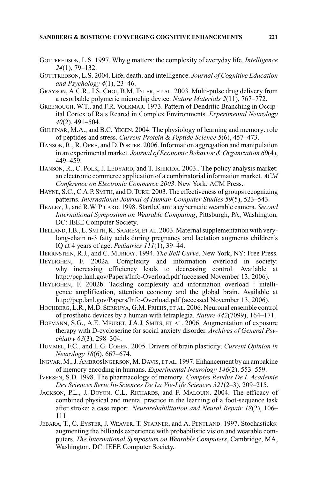- GOTTFREDSON, L.S. 1997. Why g matters: the complexity of everyday life. *Intelligence 24*(1), 79–132.
- GOTTFREDSON, L.S. 2004. Life, death, and intelligence. *Journal of Cognitive Education and Psychology 4*(1), 23–46.
- GRAYSON, A.C.R., I.S. CHOI, B.M. TYLER, ET AL. 2003. Multi-pulse drug delivery from a resorbable polymeric microchip device. *Nature Materials 2*(11), 767–772.
- GREENOUGH, W.T., and F.R. VOLKMAR. 1973. Pattern of Dendritic Branching in Occipital Cortex of Rats Reared in Complex Environments. *Experimental Neurology 40*(2), 491–504.
- GULPINAR, M.A., and B.C. YEGEN. 2004. The physiology of learning and memory: role of peptides and stress. *Current Protein & Peptide Science 5*(6), 457–473.
- HANSON, R., R. OPRE, and D. PORTER. 2006. Information aggregation and manipulation in an experimental market. *Journal of Economic Behavior & Organization 60*(4), 449–459.
- HANSON, R., C. POLK, J. LEDYARD, and T. ISHIKIDA. 2003.. The policy analysis market: an electronic commerce application of a combinatorial information market. *ACM Conference on Electronic Commerce 2003*. New York: ACM Press.
- HAYNE, S.C., C.A.P. SMITH, and D. TURK. 2003. The effectiveness of groups recognizing patterns. *International Journal of Human-Computer Studies 59*(5), 523–543.
- HEALEY, J., and R.W. PICARD. 1998. StartleCam: a cybernetic wearable camera. *Second International Symposium on Wearable Computing*, Pittsburgh, PA, Washington, DC: IEEE Computer Society.
- HELLAND, I.B., L. SMITH, K. SAAREM, ET AL. 2003. Maternal supplementation with verylong-chain n-3 fatty acids during pregnancy and lactation augments children's IQ at 4 years of age. *Pediatrics 111*(1), 39–44.
- HERRNSTEIN, R.J., and C. MURRAY. 1994. *The Bell Curve*. New York, NY: Free Press.
- HEYLIGHEN, F. 2002a. Complexity and information overload in society: why increasing efficiency leads to decreasing control. Available at http://pcp.lanl.gov/Papers/Info-Overload.pdf (accessed November 13, 2006).
- HEYLIGHEN, F. 2002b. Tackling complexity and information overload : intelligence amplification, attention economy and the global brain. Available at http://pcp.lanl.gov/Papers/Info-Overload.pdf (accessed November 13, 2006).
- HOCHBERG, L.R., M.D. SERRUYA, G.M. FRIEHS, ET AL. 2006. Neuronal ensemble control of prosthetic devices by a human with tetraplegia. *Nature 442*(7099), 164–171.
- HOFMANN, S.G., A.E. MEURET, J.A.J. SMITS, ET AL. 2006. Augmentation of exposure therapy with D-cycloserine for social anxiety disorder. *Archives of General Psychiatry 63*(3), 298–304.
- HUMMEL, F.C., and L.G. COHEN. 2005. Drivers of brain plasticity. *Current Opinion in Neurology 18*(6), 667–674.
- INGVAR, M., J. AMBROSINGERSON, M. DAVIS, ET AL. 1997. Enhancement by an ampakine of memory encoding in humans. *Experimental Neurology 146*(2), 553–559.
- IVERSEN, S.D. 1998. The pharmacology of memory. *Comptes Rendus De L Academie Des Sciences Serie Iii-Sciences De La Vie-Life Sciences 321*(2–3), 209–215.
- JACKSON, P.L., J. DOYON, C.L. RICHARDS, and F. MALOUIN. 2004. The efficacy of combined physical and mental practice in the learning of a foot-sequence task after stroke: a case report. *Neurorehabilitation and Neural Repair 18*(2), 106– 111.
- JEBARA, T., C. EYSTER, J. WEAVER, T. STARNER, and A. PENTLAND. 1997. Stochasticks: augmenting the billiards experience with probabilistic vision and wearable computers. *The International Symposium on Wearable Computers*, Cambridge, MA, Washington, DC: IEEE Computer Society.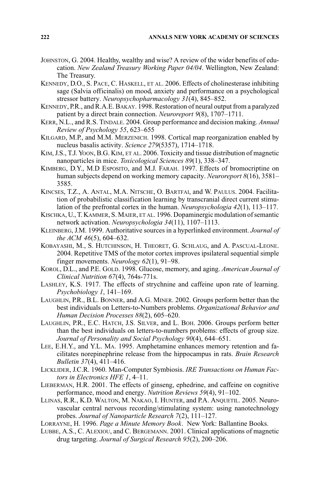- JOHNSTON, G. 2004. Healthy, wealthy and wise? A review of the wider benefits of education. *New Zealand Treasury Working Paper 04/04*. Wellington, New Zealand: The Treasury.
- KENNEDY, D.O., S. PACE, C. HASKELL, ET AL. 2006. Effects of cholinesterase inhibiting sage (Salvia officinalis) on mood, anxiety and performance on a psychological stressor battery. *Neuropsychopharmacology 31*(4), 845–852.
- KENNEDY, P.R., and R.A.E. BAKAY. 1998. Restoration of neural output from a paralyzed patient by a direct brain connection. *Neuroreport 9*(8), 1707–1711.
- KERR, N.L., and R.S. TINDALE. 2004. Group performance and decision making. *Annual Review of Psychology 55*, 623–655
- KILGARD, M.P., and M.M. MERZENICH. 1998. Cortical map reorganization enabled by nucleus basalis activity. *Science 279*(5357), 1714–1718.
- KIM, J.S., T.J. YOON, B.G. KIM, ET AL. 2006. Toxicity and tissue distribution of magnetic nanoparticles in mice. *Toxicological Sciences 89*(1), 338–347.
- KIMBERG, D.Y., M.D ESPOSITO, and M.J. FARAH. 1997. Effects of bromocriptine on human subjects depend on working memory capacity. *Neuroreport 8*(16), 3581– 3585.
- KINCSES, T.Z., A. ANTAL, M.A. NITSCHE, O. BARTFAI, and W. PAULUS. 2004. Facilitation of probabilistic classification learning by transcranial direct current stimulation of the prefrontal cortex in the human. *Neuropsychologia 42*(1), 113–117.
- KISCHKA, U., T. KAMMER, S. MAIER, ET AL. 1996. Dopaminergic modulation of semantic network activation. *Neuropsychologia 34*(11), 1107–1113.
- KLEINBERG, J.M. 1999. Authoritative sources in a hyperlinked environment. *Journal of the ACM 46*(5), 604–632.
- KOBAYASHI, M., S. HUTCHINSON, H. THEORET, G. SCHLAUG, and A. PASCUAL-LEONE. 2004. Repetitive TMS of the motor cortex improves ipsilateral sequential simple finger movements. *Neurology 62*(1), 91–98.
- KOROL, D.L., and P.E. GOLD. 1998. Glucose, memory, and aging. *American Journal of Clinical Nutrition 67*(4), 764s-771s.
- LASHLEY, K.S. 1917. The effects of strychnine and caffeine upon rate of learning. *Psychobiology 1*, 141–169.
- LAUGHLIN, P.R., B.L. BONNER, and A.G. MINER. 2002. Groups perform better than the best individuals on Letters-to-Numbers problems. *Organizational Behavior and Human Decision Processes 88*(2), 605–620.
- LAUGHLIN, P.R., E.C. HATCH, J.S. SILVER, and L. BOH. 2006. Groups perform better than the best individuals on letters-to-numbers problems: effects of group size. *Journal of Personality and Social Psychology 90*(4), 644–651.
- LEE, E.H.Y., and Y.L. MA. 1995. Amphetamine enhances memory retention and facilitates norepinephrine release from the hippocampus in rats. *Brain Research Bulletin 37*(4), 411–416.
- LICKLIDER, J.C.R. 1960. Man-Computer Symbiosis. *IRE Transactions on Human Factors in Electronics HFE 1*, 4–11.
- LIEBERMAN, H.R. 2001. The effects of ginseng, ephedrine, and caffeine on cognitive performance, mood and energy. *Nutrition Reviews 59*(4), 91–102.
- LLINAS, R.R., K.D. WALTON, M. NAKAO, I. HUNTER, and P.A. ANQUETIL. 2005. Neurovascular central nervous recording/stimulating system: using nanotechnology probes. *Journal of Nanoparticle Research 7*(2), 111–127.
- LORRAYNE, H. 1996. *Page a Minute Memory Book*. New York: Ballantine Books.
- LUBBE, A.S., C. ALEXIOU, and C. BERGEMANN. 2001. Clinical applications of magnetic drug targeting. *Journal of Surgical Research 95*(2), 200–206.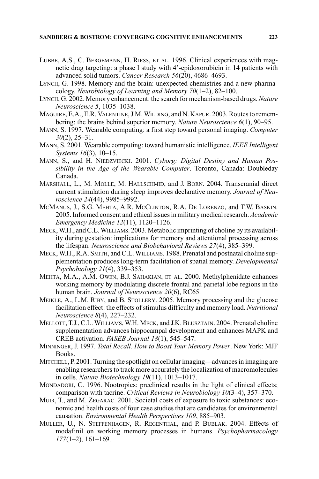- LUBBE, A.S., C. BERGEMANN, H. RIESS, ET AL. 1996. Clinical experiences with magnetic drag targeting: a phase I study with 4'-epidoxorubicin in 14 patients with advanced solid tumors. *Cancer Research 56*(20), 4686–4693.
- LYNCH, G. 1998. Memory and the brain: unexpected chemistries and a new pharmacology. *Neurobiology of Learning and Memory 70*(1–2), 82–100.
- LYNCH, G. 2002. Memory enhancement: the search for mechanism-based drugs.*Nature Neuroscience 5*, 1035–1038.
- MAGUIRE, E.A., E.R. VALENTINE, J.M. WILDING, and N. KAPUR. 2003. Routes to remembering: the brains behind superior memory. *Nature Neuroscience 6*(1), 90–95.
- MANN, S. 1997. Wearable computing: a first step toward personal imaging. *Computer 30*(2), 25–31.
- MANN, S. 2001. Wearable computing: toward humanistic intelligence. *IEEE Intelligent Systems 16*(3), 10–15.
- MANN, S., and H. NIEDZVIECKI. 2001. *Cyborg: Digital Destiny and Human Possibility in the Age of the Wearable Computer*. Toronto, Canada: Doubleday Canada.
- MARSHALL, L., M. MOLLE, M. HALLSCHMID, and J. BORN. 2004. Transcranial direct current stimulation during sleep improves declarative memory. *Journal of Neuroscience 24*(44), 9985–9992.
- MCMANUS, J., S.G. MEHTA, A.R. MCCLINTON, R.A. DE LORENZO, and T.W. BASKIN. 2005. Informed consent and ethical issues in military medical research. *Academic Emergency Medicine 12*(11), 1120–1126.
- MECK, W.H., and C.L. WILLIAMS. 2003. Metabolic imprinting of choline by its availability during gestation: implications for memory and attentional processing across the lifespan. *Neuroscience and Biobehavioral Reviews 27*(4), 385–399.
- MECK, W.H., R.A. SMITH, and C.L. WILLIAMS. 1988. Prenatal and postnatal choline supplementation produces long-term facilitation of spatial memory. *Developmental Psychobiology 21*(4), 339–353.
- MEHTA, M.A., A.M. OWEN, B.J. SAHAKIAN, ET AL. 2000. Methylphenidate enhances working memory by modulating discrete frontal and parietal lobe regions in the human brain. *Journal of Neuroscience 20*(6), RC65.
- MEIKLE, A., L.M. RIBY, and B. STOLLERY. 2005. Memory processing and the glucose facilitation effect: the effects of stimulus difficulty and memory load. *Nutritional Neuroscience 8*(4), 227–232.
- MELLOTT, T.J., C.L. WILLIAMS, W.H. MECK, and J.K. BLUSZTAJN. 2004. Prenatal choline supplementation advances hippocampal development and enhances MAPK and CREB activation. *FASEB Journal 18*(1), 545–547.
- MINNINGER, J. 1997. *Total Recall. How to Boost Your Memory Power*. New York: MJF Books.
- MITCHELL, P. 2001. Turning the spotlight on cellular imaging—advances in imaging are enabling researchers to track more accurately the localization of macromolecules in cells. *Nature Biotechnology 19*(11), 1013–1017.
- MONDADORI, C. 1996. Nootropics: preclinical results in the light of clinical effects; comparison with tacrine. *Critical Reviews in Neurobiology 10*(3–4), 357–370.
- MUIR, T., and M. ZEGARAC. 2001. Societal costs of exposure to toxic substances: economic and health costs of four case studies that are candidates for environmental causation. *Environmental Health Perspectives 109*, 885–903.
- MULLER, U., N. STEFFENHAGEN, R. REGENTHAL, and P. BUBLAK. 2004. Effects of modafinil on working memory processes in humans. *Psychopharmacology 177*(1–2), 161–169.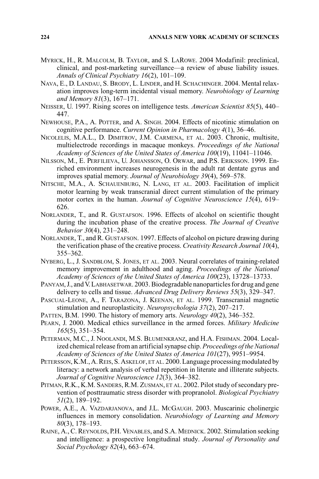- MYRICK, H., R. MALCOLM, B. TAYLOR, and S. LAROWE. 2004 Modafinil: preclinical, clinical, and post-marketing surveillance—a review of abuse liability issues. *Annals of Clinical Psychiatry 16*(2), 101–109.
- NAVA, E., D. LANDAU, S. BRODY, L. LINDER, and H. SCHACHINGER. 2004. Mental relaxation improves long-term incidental visual memory. *Neurobiology of Learning and Memory 81*(3), 167–171.
- NEISSER, U. 1997. Rising scores on intelligence tests. *American Scientist 85*(5), 440– 447.
- NEWHOUSE, P.A., A. POTTER, and A. SINGH. 2004. Effects of nicotinic stimulation on cognitive performance. *Current Opinion in Pharmacology 4*(1), 36–46.
- NICOLELIS, M.A.L., D. DIMITROV, J.M. CARMENA, ET AL. 2003. Chronic, multisite, multielectrode recordings in macaque monkeys. *Proceedings of the National Academy of Sciences of the United States of America 100*(19), 11041–11046.
- NILSSON, M., E. PERFILIEVA, U. JOHANSSON, O. ORWAR, and P.S. ERIKSSON. 1999. Enriched environment increases neurogenesis in the adult rat dentate gyrus and improves spatial memory. *Journal of Neurobiology 39*(4), 569–578.
- NITSCHE, M.A., A. SCHAUENBURG, N. LANG, ET AL. 2003. Facilitation of implicit motor learning by weak transcranial direct current stimulation of the primary motor cortex in the human. *Journal of Cognitive Neuroscience 15*(4), 619– 626.
- NORLANDER, T., and R. GUSTAFSON. 1996. Effects of alcohol on scientific thought during the incubation phase of the creative process. *The Journal of Creative Behavior 30*(4), 231–248.
- NORLANDER, T., and R. GUSTAFSON. 1997. Effects of alcohol on picture drawing during the verification phase of the creative process. *Creativity Research Journal 10*(4), 355–362.
- NYBERG, L., J. SANDBLOM, S. JONES, ET AL. 2003. Neural correlates of training-related memory improvement in adulthood and aging. *Proceedings of the National Academy of Sciences of the United States of America 100*(23), 13728–13733.
- PANYAM, J., and V. LABHASETWAR. 2003. Biodegradable nanoparticles for drug and gene delivery to cells and tissue. *Advanced Drug Delivery Reviews 55*(3), 329–347.
- PASCUAL-LEONE, A., F. TARAZONA, J. KEENAN, ET AL. 1999. Transcranial magnetic stimulation and neuroplasticity. *Neuropsychologia 37*(2), 207–217.
- PATTEN, B.M. 1990. The history of memory arts. *Neurology 40*(2), 346–352.
- PEARN, J. 2000. Medical ethics surveillance in the armed forces. *Military Medicine 165*(5), 351–354.
- PETERMAN, M.C., J. NOOLANDI, M.S. BLUMENKRANZ, and H.A. FISHMAN. 2004. Localized chemical release from an artificial synapse chip. *Proceedings of the National Academy of Sciences of the United States of America 101*(27), 9951–9954.
- PETERSSON, K.M., A. REIS, S. ASKELOF, ET AL. 2000. Language processing modulated by literacy: a network analysis of verbal repetition in literate and illiterate subjects. *Journal of Cognitive Neuroscience 12*(3), 364–382.
- PITMAN, R.K., K.M. SANDERS, R.M. ZUSMAN, ET AL. 2002. Pilot study of secondary prevention of posttraumatic stress disorder with propranolol. *Biological Psychiatry 51*(2), 189–192.
- POWER, A.E., A. VAZDARJANOVA, and J.L. MCGAUGH. 2003. Muscarinic cholinergic influences in memory consolidation. *Neurobiology of Learning and Memory 80*(3), 178–193.
- RAINE, A., C. REYNOLDS, P.H. VENABLES, and S.A. MEDNICK. 2002. Stimulation seeking and intelligence: a prospective longitudinal study. *Journal of Personality and Social Psychology 82*(4), 663–674.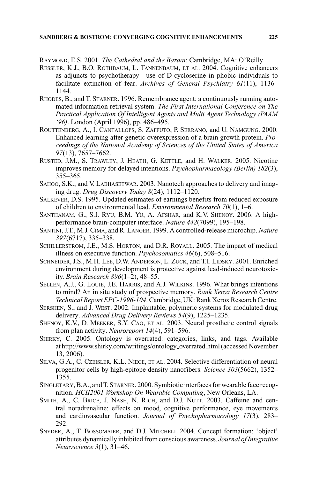RAYMOND, E.S. 2001. *The Cathedral and the Bazaar.* Cambridge, MA: O'Reilly.

- RESSLER, K.J., B.O. ROTHBAUM, L. TANNENBAUM, ET AL. 2004. Cognitive enhancers as adjuncts to psychotherapy—use of D-cycloserine in phobic individuals to facilitate extinction of fear. *Archives of General Psychiatry 61*(11), 1136– 1144.
- RHODES, B., and T. STARNER. 1996. Remembrance agent: a continuously running automated information retrieval system. *The First International Conference on The Practical Application Of Intelligent Agents and Multi Agent Technology (PAAM '96)*. London (April 1996), pp. 486–495.
- ROUTTENBERG, A., I. CANTALLOPS, S. ZAFFUTO, P. SERRANO, and U. NAMGUNG. 2000. Enhanced learning after genetic overexpression of a brain growth protein. *Proceedings of the National Academy of Sciences of the United States of America 97*(13), 7657–7662.
- RUSTED, J.M., S. TRAWLEY, J. HEATH, G. KETTLE, and H. WALKER. 2005. Nicotine improves memory for delayed intentions. *Psychopharmacology (Berlin) 182*(3), 355–365.
- SAHOO, S.K., and V. LABHASETWAR. 2003. Nanotech approaches to delivery and imaging drug. *Drug Discovery Today 8*(24), 1112–1120.
- SALKEVER, D.S. 1995. Updated estimates of earnings benefits from reduced exposure of children to environmental lead. *Environmental Research 70*(1), 1–6.
- SANTHANAM, G., S.I. RYU, B.M. YU, A. AFSHAR, and K.V. SHENOY. 2006. A highperformance brain-computer interface. *Nature 442*(7099), 195–198.
- SANTINI, J.T., M.J. CIMA, and R. LANGER. 1999. A controlled-release microchip. *Nature 397*(6717), 335–338.
- SCHILLERSTROM, J.E., M.S. HORTON, and D.R. ROYALL. 2005. The impact of medical illness on executive function. *Psychosomatics 46*(6), 508–516.
- SCHNEIDER, J.S., M.H. LEE, D.W. ANDERSON, L. ZUCK, and T.I. LIDSKY. 2001. Enriched environment during development is protective against lead-induced neurotoxicity. *Brain Research 896*(1–2), 48–55.
- SELLEN, A.J., G. LOUIE, J.E. HARRIS, and A.J. WILKINS. 1996. What brings intentions to mind? An in situ study of prospective memory. *Rank Xerox Research Centre Technical Report EPC-1996-104*. Cambridge, UK: Rank Xerox Research Centre.
- SERSHEN, S., and J. WEST. 2002. Implantable, polymeric systems for modulated drug delivery. *Advanced Drug Delivery Reviews 54*(9), 1225–1235.
- SHENOY, K.V., D. MEEKER, S.Y. CAO, ET AL. 2003. Neural prosthetic control signals from plan activity. *Neuroreport 14*(4), 591–596.
- SHIRKY, C. 2005. Ontology is overrated: categories, links, and tags. Available at http://www.shirky.com/writings/ontology overrated.html (accessed November 13, 2006).
- SILVA, G.A., C. CZEISLER, K.L. NIECE, ET AL. 2004. Selective differentiation of neural progenitor cells by high-epitope density nanofibers. *Science 303*(5662), 1352– 1355.
- SINGLETARY, B.A., and T. STARNER. 2000. Symbiotic interfaces for wearable face recognition. *HCII2001 Workshop On Wearable Computing*, New Orleans, LA.
- SMITH, A., C. BRICE, J. NASH, N. RICH, and D.J. NUTT. 2003. Caffeine and central noradrenaline: effects on mood, cognitive performance, eye movements and cardiovascular function. *Journal of Psychopharmacology 17*(3), 283– 292.
- SNYDER, A., T. BOSSOMAIER, and D.J. MITCHELL 2004. Concept formation: 'object' attributes dynamically inhibited from conscious awareness. *Journal of Integrative Neuroscience 3*(1), 31–46.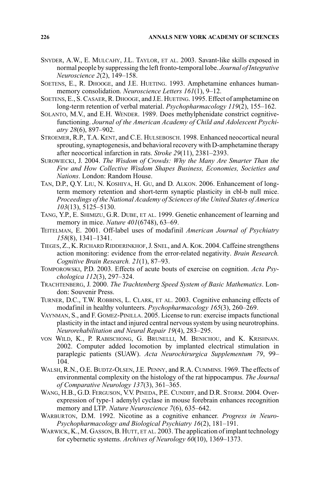- SNYDER, A.W., E. MULCAHY, J.L. TAYLOR, ET AL. 2003. Savant-like skills exposed in normal people by suppressing the left fronto-temporal lobe. *Journal of Integrative Neuroscience 2*(2), 149–158.
- SOETENS, E., R. DHOOGE, and J.E. HUETING. 1993. Amphetamine enhances humanmemory consolidation. *Neuroscience Letters 161*(1), 9–12.
- SOETENS, E., S. CASAER, R. DHOOGE, and J.E. HUETING. 1995. Effect of amphetamine on long-term retention of verbal material. *Psychopharmacology 119*(2), 155–162.
- SOLANTO, M.V., and E.H. WENDER. 1989. Does methylphenidate constrict cognitivefunctioning. *Journal of the American Academy of Child and Adolescent Psychiatry 28*(6), 897–902.
- STROEMER, R.P., T.A. KENT, and C.E. HULSEBOSCH. 1998. Enhanced neocortical neural sprouting, synaptogenesis, and behavioral recovery with D-amphetamine therapy after neocortical infarction in rats. *Stroke 29*(11), 2381–2393.
- SUROWIECKI, J. 2004. *The Wisdom of Crowds: Why the Many Are Smarter Than the Few and How Collective Wisdom Shapes Business, Economies, Societies and Nations*. London: Random House.
- TAN, D.P., Q.Y. LIU, N. KOSHIYA, H. GU, and D. ALKON. 2006. Enhancement of longterm memory retention and short-term synaptic plasticity in cbl-b null mice. *Proceedings of the National Academy of Sciences of the United States of America 103*(13), 5125–5130.
- TANG, Y.P., E. SHIMIZU, G.R. DUBE, ET AL. 1999. Genetic enhancement of learning and memory in mice. *Nature 401*(6748), 63–69.
- TEITELMAN, E. 2001. Off-label uses of modafinil *American Journal of Psychiatry 158*(8), 1341–1341.
- TIEGES, Z., K. RICHARD RIDDERINKHOF, J. SNEL, and A. KOK. 2004. Caffeine strengthens action monitoring: evidence from the error-related negativity. *Brain Research. Cognitive Brain Research. 21*(1), 87–93.
- TOMPOROWSKI, P.D. 2003. Effects of acute bouts of exercise on cognition. *Acta Psychologica 112*(3), 297–324.
- TRACHTENBERG, J. 2000. *The Trachtenberg Speed System of Basic Mathematics*. London: Souvenir Press.
- TURNER, D.C., T.W. ROBBINS, L. CLARK, ET AL. 2003. Cognitive enhancing effects of modafinil in healthy volunteers. *Psychopharmacology 165*(3), 260–269.
- VAYNMAN, S., and F. GOMEZ-PINILLA. 2005. License to run: exercise impacts functional plasticity in the intact and injured central nervous system by using neurotrophins. *Neurorehabilitation and Neural Repair 19*(4), 283–295.
- VON WILD, K., P. RABISCHONG, G. BRUNELLI, M. BENICHOU, and K. KRISHNAN. 2002. Computer added locomotion by implanted electrical stimulation in paraplegic patients (SUAW). *Acta Neurochirurgica Supplementum 79*, 99– 104.
- WALSH, R.N., O.E. BUDTZ-OLSEN, J.E. PENNY, and R.A. CUMMINS. 1969. The effects of environmental complexity on the histology of the rat hippocampus. *The Journal of Comparative Neurology 137*(3), 361–365.
- WANG, H.B., G.D. FERGUSON, V.V. PINEDA, P.E. CUNDIFF, and D.R. STORM. 2004. Overexpression of type-1 adenylyl cyclase in mouse forebrain enhances recognition memory and LTP. *Nature Neuroscience 7*(6), 635–642.
- WARBURTON, D.M. 1992. Nicotine as a cognitive enhancer. *Progress in Neuro-Psychopharmacology and Biological Psychiatry 16*(2), 181–191.
- WARWICK, K., M. GASSON, B. HUTT, ET AL. 2003. The application of implant technology for cybernetic systems. *Archives of Neurology 60*(10), 1369–1373.